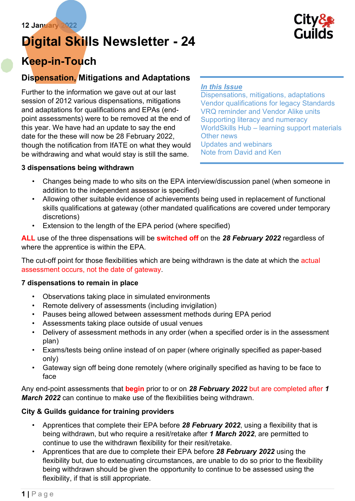# Digital Skills Newsletter - 24



# Keep-in-Touch

# Dispensation, Mitigations and Adaptations

Further to the information we gave out at our last session of 2012 various dispensations, mitigations and adaptations for qualifications and EPAs (endpoint assessments) were to be removed at the end of this year. We have had an update to say the end date for the these will now be 28 February 2022, though the notification from IfATE on what they would be withdrawing and what would stay is still the same.

#### In this Issue

Dispensations, mitigations, adaptations Vendor qualifications for legacy Standards VRQ reminder and Vendor Alike units Supporting literacy and numeracy WorldSkills Hub – learning support materials Other news Updates and webinars Note from David and Ken

#### 3 dispensations being withdrawn

- Changes being made to who sits on the EPA interview/discussion panel (when someone in addition to the independent assessor is specified)
- Allowing other suitable evidence of achievements being used in replacement of functional skills qualifications at gateway (other mandated qualifications are covered under temporary discretions)
- Extension to the length of the EPA period (where specified)

ALL use of the three dispensations will be **switched off** on the 28 February 2022 regardless of where the apprentice is within the EPA.

The cut-off point for those flexibilities which are being withdrawn is the date at which the actual assessment occurs, not the date of gateway.

#### 7 dispensations to remain in place

- Observations taking place in simulated environments
- Remote delivery of assessments (including invigilation)
- Pauses being allowed between assessment methods during EPA period
- Assessments taking place outside of usual venues
- Delivery of assessment methods in any order (when a specified order is in the assessment plan)
- Exams/tests being online instead of on paper (where originally specified as paper-based only)
- Gateway sign off being done remotely (where originally specified as having to be face to face

Any end-point assessments that **begin** prior to or on 28 February 2022 but are completed after 1 **March 2022** can continue to make use of the flexibilities being withdrawn.

#### City & Guilds guidance for training providers

- Apprentices that complete their EPA before 28 February 2022, using a flexibility that is being withdrawn, but who require a resit/retake after 1 March 2022, are permitted to continue to use the withdrawn flexibility for their resit/retake.
- Apprentices that are due to complete their EPA before 28 February 2022 using the flexibility but, due to extenuating circumstances, are unable to do so prior to the flexibility being withdrawn should be given the opportunity to continue to be assessed using the flexibility, if that is still appropriate.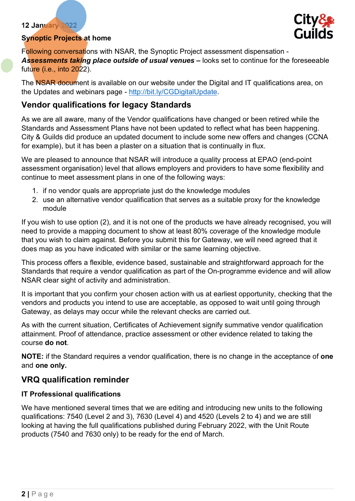#### Synoptic Projects at home



Following conversations with NSAR, the Synoptic Project assessment dispensation - Assessments taking place outside of usual venues – looks set to continue for the foreseeable future (i.e., into 2022).

The NSAR document is available on our website under the Digital and IT qualifications area, on the Updates and webinars page - http://bit.ly/CGDigitalUpdate.

### Vendor qualifications for legacy Standards

As we are all aware, many of the Vendor qualifications have changed or been retired while the Standards and Assessment Plans have not been updated to reflect what has been happening. City & Guilds did produce an updated document to include some new offers and changes (CCNA for example), but it has been a plaster on a situation that is continually in flux.

We are pleased to announce that NSAR will introduce a quality process at EPAO (end-point assessment organisation) level that allows employers and providers to have some flexibility and continue to meet assessment plans in one of the following ways:

- 1. if no vendor quals are appropriate just do the knowledge modules
- 2. use an alternative vendor qualification that serves as a suitable proxy for the knowledge module

If you wish to use option (2), and it is not one of the products we have already recognised, you will need to provide a mapping document to show at least 80% coverage of the knowledge module that you wish to claim against. Before you submit this for Gateway, we will need agreed that it does map as you have indicated with similar or the same learning objective.

This process offers a flexible, evidence based, sustainable and straightforward approach for the Standards that require a vendor qualification as part of the On-programme evidence and will allow NSAR clear sight of activity and administration.

It is important that you confirm your chosen action with us at earliest opportunity, checking that the vendors and products you intend to use are acceptable, as opposed to wait until going through Gateway, as delays may occur while the relevant checks are carried out.

As with the current situation, Certificates of Achievement signify summative vendor qualification attainment. Proof of attendance, practice assessment or other evidence related to taking the course do not.

NOTE: if the Standard requires a vendor qualification, there is no change in the acceptance of one and one only.

#### VRQ qualification reminder

#### IT Professional qualifications

We have mentioned several times that we are editing and introducing new units to the following qualifications: 7540 (Level 2 and 3), 7630 (Level 4) and 4520 (Levels 2 to 4) and we are still looking at having the full qualifications published during February 2022, with the Unit Route products (7540 and 7630 only) to be ready for the end of March.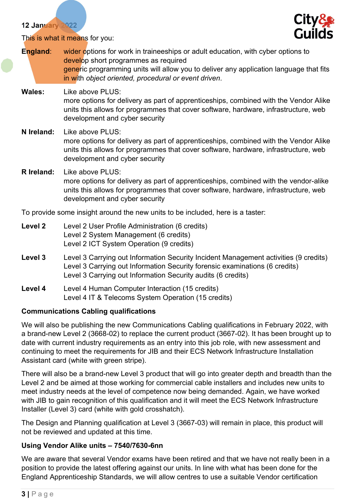

This is what it means for you:

- England: wider options for work in traineeships or adult education, with cyber options to develop short programmes as required generic programming units will allow you to deliver any application language that fits in with object oriented, procedural or event driven. Wales: Like above PLUS: more options for delivery as part of apprenticeships, combined with the Vendor Alike units this allows for programmes that cover software, hardware, infrastructure, web development and cyber security N Ireland: Like above PLUS: more options for delivery as part of apprenticeships, combined with the Vendor Alike
- R Ireland: Like above PLUS: more options for delivery as part of apprenticeships, combined with the vendor-alike units this allows for programmes that cover software, hardware, infrastructure, web development and cyber security

units this allows for programmes that cover software, hardware, infrastructure, web

To provide some insight around the new units to be included, here is a taster:

Level 2 Level 2 User Profile Administration (6 credits) Level 2 System Management (6 credits) Level 2 ICT System Operation (9 credits)

development and cyber security

- Level 3 Level 3 Carrying out Information Security Incident Management activities (9 credits) Level 3 Carrying out Information Security forensic examinations (6 credits) Level 3 Carrying out Information Security audits (6 credits)
- Level 4 Level 4 Human Computer Interaction (15 credits) Level 4 IT & Telecoms System Operation (15 credits)

# Communications Cabling qualifications

We will also be publishing the new Communications Cabling qualifications in February 2022, with a brand-new Level 2 (3668-02) to replace the current product (3667-02). It has been brought up to date with current industry requirements as an entry into this job role, with new assessment and continuing to meet the requirements for JIB and their ECS Network Infrastructure Installation Assistant card (white with green stripe).

There will also be a brand-new Level 3 product that will go into greater depth and breadth than the Level 2 and be aimed at those working for commercial cable installers and includes new units to meet industry needs at the level of competence now being demanded. Again, we have worked with JIB to gain recognition of this qualification and it will meet the ECS Network Infrastructure Installer (Level 3) card (white with gold crosshatch).

The Design and Planning qualification at Level 3 (3667-03) will remain in place, this product will not be reviewed and updated at this time.

# Using Vendor Alike units – 7540/7630-6nn

We are aware that several Vendor exams have been retired and that we have not really been in a position to provide the latest offering against our units. In line with what has been done for the England Apprenticeship Standards, we will allow centres to use a suitable Vendor certification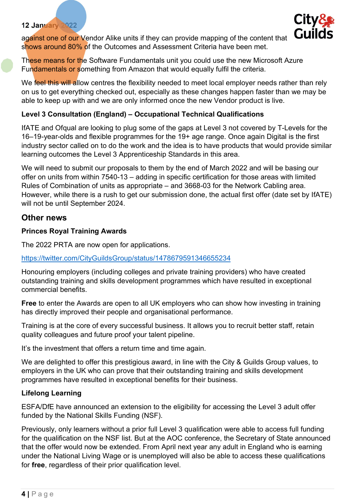

against one of our Vendor Alike units if they can provide mapping of the content that shows around 80% of the Outcomes and Assessment Criteria have been met.

These means for the Software Fundamentals unit you could use the new Microsoft Azure Fundamentals or something from Amazon that would equally fulfil the criteria.

We feel this will allow centres the flexibility needed to meet local employer needs rather than rely on us to get everything checked out, especially as these changes happen faster than we may be able to keep up with and we are only informed once the new Vendor product is live.

#### Level 3 Consultation (England) – Occupational Technical Qualifications

IfATE and Ofqual are looking to plug some of the gaps at Level 3 not covered by T-Levels for the 16–19-year-olds and flexible programmes for the 19+ age range. Once again Digital is the first industry sector called on to do the work and the idea is to have products that would provide similar learning outcomes the Level 3 Apprenticeship Standards in this area.

We will need to submit our proposals to them by the end of March 2022 and will be basing our offer on units from within 7540-13 – adding in specific certification for those areas with limited Rules of Combination of units as appropriate – and 3668-03 for the Network Cabling area. However, while there is a rush to get our submission done, the actual first offer (date set by IfATE) will not be until September 2024.

#### Other news

#### Princes Royal Training Awards

The 2022 PRTA are now open for applications.

#### https://twitter.com/CityGuildsGroup/status/1478679591346655234

Honouring employers (including colleges and private training providers) who have created outstanding training and skills development programmes which have resulted in exceptional commercial benefits.

Free to enter the Awards are open to all UK employers who can show how investing in training has directly improved their people and organisational performance.

Training is at the core of every successful business. It allows you to recruit better staff, retain quality colleagues and future proof your talent pipeline.

It's the investment that offers a return time and time again.

We are delighted to offer this prestigious award, in line with the City & Guilds Group values, to employers in the UK who can prove that their outstanding training and skills development programmes have resulted in exceptional benefits for their business.

#### Lifelong Learning

ESFA/DfE have announced an extension to the eligibility for accessing the Level 3 adult offer funded by the National Skills Funding (NSF).

Previously, only learners without a prior full Level 3 qualification were able to access full funding for the qualification on the NSF list. But at the AOC conference, the Secretary of State announced that the offer would now be extended. From April next year any adult in England who is earning under the National Living Wage or is unemployed will also be able to access these qualifications for free, regardless of their prior qualification level.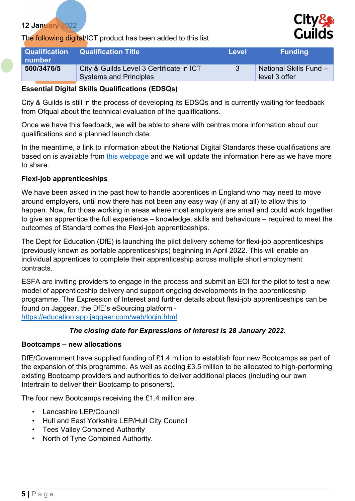#### The following digital/ICT product has been added to this list



| Qualification<br>number | <b>Qualification Title</b>                                                | Level | <b>Funding</b>                          |
|-------------------------|---------------------------------------------------------------------------|-------|-----------------------------------------|
| 500/3476/5              | City & Guilds Level 3 Certificate in ICT<br><b>Systems and Principles</b> |       | National Skills Fund -<br>level 3 offer |

#### Essential Digital Skills Qualifications (EDSQs)

City & Guilds is still in the process of developing its EDSQs and is currently waiting for feedback from Ofqual about the technical evaluation of the qualifications.

Once we have this feedback, we will be able to share with centres more information about our qualifications and a planned launch date.

In the meantime, a link to information about the National Digital Standards these qualifications are based on is available from this webpage and we will update the information here as we have more to share.

#### Flexi-job apprenticeships

We have been asked in the past how to handle apprentices in England who may need to move around employers, until now there has not been any easy way (if any at all) to allow this to happen. Now, for those working in areas where most employers are small and could work together to give an apprentice the full experience – knowledge, skills and behaviours – required to meet the outcomes of Standard comes the Flexi-job apprenticeships.

The Dept for Education (DfE) is launching the pilot delivery scheme for flexi-job apprenticeships (previously known as portable apprenticeships) beginning in April 2022. This will enable an individual apprentices to complete their apprenticeship across multiple short employment contracts.

ESFA are inviting providers to engage in the process and submit an EOI for the pilot to test a new model of apprenticeship delivery and support ongoing developments in the apprenticeship programme. The Expression of Interest and further details about flexi-job apprenticeships can be found on Jaggear, the DfE's eSourcing platform https://education.app.jaggaer.com/web/login.html

#### The closing date for Expressions of Interest is 28 January 2022.

#### Bootcamps – new allocations

DfE/Government have supplied funding of £1.4 million to establish four new Bootcamps as part of the expansion of this programme. As well as adding £3.5 million to be allocated to high-performing existing Bootcamp providers and authorities to deliver additional places (including our own Intertrain to deliver their Bootcamp to prisoners).

The four new Bootcamps receiving the £1.4 million are;

- Lancashire LEP/Council
- Hull and East Yorkshire LEP/Hull City Council
- Tees Valley Combined Authority
- North of Tyne Combined Authority.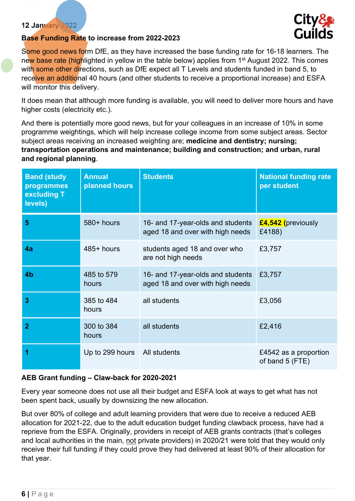

#### Base Funding Rate to increase from 2022-2023

Some good news form DfE, as they have increased the base funding rate for 16-18 learners. The new base rate (highlighted in yellow in the table below) applies from 1<sup>st</sup> August 2022. This comes with some other directions, such as DfE expect all T Levels and students funded in band 5, to receive an additional 40 hours (and other students to receive a proportional increase) and ESFA will monitor this delivery.

It does mean that although more funding is available, you will need to deliver more hours and have higher costs (electricity etc.).

And there is potentially more good news, but for your colleagues in an increase of 10% in some programme weightings, which will help increase college income from some subject areas. Sector subject areas receiving an increased weighting are; medicine and dentistry; nursing; transportation operations and maintenance; building and construction; and urban, rural and regional planning.

| <b>Band (study</b><br>programmes<br>excluding T<br>levels) | <b>Annual</b><br>planned hours | <b>Students</b>                                                       | <b>National funding rate</b><br>per student |
|------------------------------------------------------------|--------------------------------|-----------------------------------------------------------------------|---------------------------------------------|
| 5                                                          | 580+ hours                     | 16- and 17-year-olds and students<br>aged 18 and over with high needs | £4,542 (previously<br>£4188)                |
| 4a                                                         | $485+$ hours                   | students aged 18 and over who<br>are not high needs                   | £3,757                                      |
| 4 <sub>b</sub>                                             | 485 to 579<br>hours            | 16- and 17-year-olds and students<br>aged 18 and over with high needs | £3,757                                      |
| 3                                                          | 385 to 484<br>hours            | all students                                                          | £3,056                                      |
| $\overline{2}$                                             | 300 to 384<br>hours            | all students                                                          | £2,416                                      |
| 1                                                          | Up to 299 hours   All students |                                                                       | £4542 as a proportion<br>of band 5 (FTE)    |

#### AEB Grant funding – Claw-back for 2020-2021

Every year someone does not use all their budget and ESFA look at ways to get what has not been spent back, usually by downsizing the new allocation.

But over 80% of college and adult learning providers that were due to receive a reduced AEB allocation for 2021-22, due to the adult education budget funding clawback process, have had a reprieve from the ESFA. Originally, providers in receipt of AEB grants contracts (that's colleges and local authorities in the main, not private providers) in 2020/21 were told that they would only receive their full funding if they could prove they had delivered at least 90% of their allocation for that year.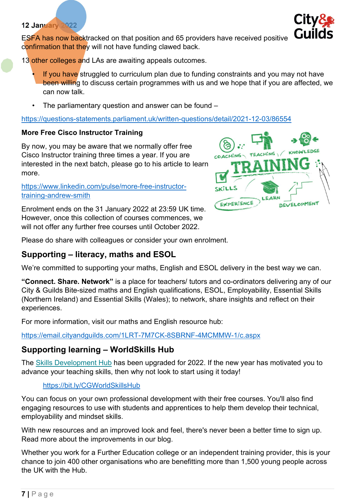ESFA has now backtracked on that position and 65 providers have received positive confirmation that they will not have funding clawed back.

13 other colleges and LAs are awaiting appeals outcomes.

- If you have struggled to curriculum plan due to funding constraints and you may not have been willing to discuss certain programmes with us and we hope that if you are affected, we can now talk.
- The parliamentary question and answer can be found –

#### https://questions-statements.parliament.uk/written-questions/detail/2021-12-03/86554

# More Free Cisco Instructor Training

By now, you may be aware that we normally offer free Cisco Instructor training three times a year. If you are interested in the next batch, please go to his article to learn more.

#### https://www.linkedin.com/pulse/more-free-instructortraining-andrew-smith

Enrolment ends on the 31 January 2022 at 23:59 UK time. However, once this collection of courses commences, we will not offer any further free courses until October 2022.

Please do share with colleagues or consider your own enrolment.

# Supporting – literacy, maths and ESOL

We're committed to supporting your maths, English and ESOL delivery in the best way we can.

"Connect. Share. Network" is a place for teachers/ tutors and co-ordinators delivering any of our City & Guilds Bite-sized maths and English qualifications, ESOL, Employability, Essential Skills (Northern Ireland) and Essential Skills (Wales); to network, share insights and reflect on their experiences.

For more information, visit our maths and English resource hub:

https://email.cityandguilds.com/1LRT-7M7CK-8SBRNF-4MCMMW-1/c.aspx

# Supporting learning – WorldSkills Hub

The Skills Development Hub has been upgraded for 2022. If the new year has motivated you to advance your teaching skills, then why not look to start using it today!

# https://bit.ly/CGWorldSkillsHub

You can focus on your own professional development with their free courses. You'll also find engaging resources to use with students and apprentices to help them develop their technical, employability and mindset skills.

With new resources and an improved look and feel, there's never been a better time to sign up. Read more about the improvements in our blog.

Whether you work for a Further Education college or an independent training provider, this is your chance to join 400 other organisations who are benefitting more than 1,500 young people across the UK with the Hub.